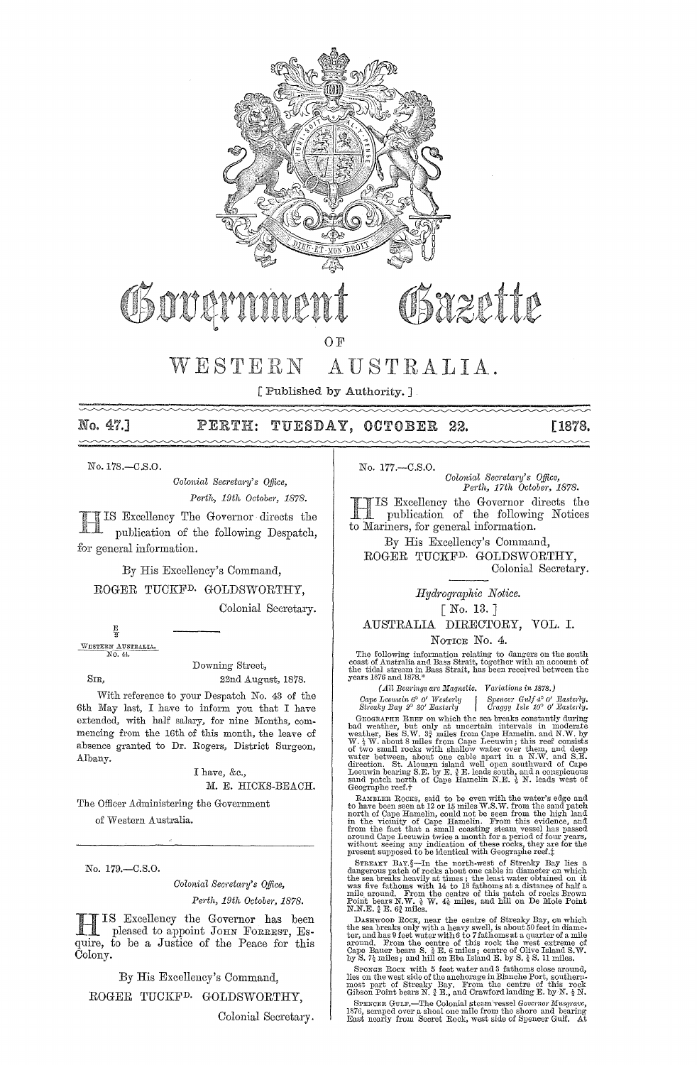

WESTERN AUSTRALIA.

[Published by Authority.]

# No. 47.] PERTH: TUESDAY, OCTOBER 22. [1878.

No. 178.-C.S.0.

*Oolonial Sem'etal'1}' s Office, Perth, 19th October, 1878.* 

Excellency The Governor directs the publication of the following Despatch, for general information.

By His Excellency's Command, ROGER TUCKFD. GOLDSWORTHY, Colonial Secretary.

 $\frac{E}{2}$ WESTERN AUSTRALIA.

Downing Street, SIR, 22nd August, 1878.

With reference to your Despatch No. 43 of the 6th May last, I have to inform you that I have extended, with half salary, for nine Months, commencing from the 16th of this month, the leave of absence granted to Dr. Eogers, District Surgeon, Albany.

> I have, &e., M. E. HICKS-BEACH.

The Officer Administering the Government

of Western Australia.

No. 179.-C.S.O.

*Oolonial Secretm'Y's Office, Perth, 19th Octobej', 1878.* 

IIS Excellency the Governor has been<br>pleased to appoint JOHN FORREST, Esquire, to be a Justice of the Peace for this Colony.

By His Excellency's Command,

ROGER TUCKFD. GOLDSWORTHY,

Colonial Secretary.

No. 177.-C.S.O. *Colonial Secretary's Office,*<br>Perth, 17th October, 1878.

IIS Excellency the Governor d<br>
publication of the followin<br>
to Mariners, for general information. -TIS Excellency the Governor directs the publication of the following Notices

By His Excellency's Command, ROGER TUCKFD. GOLDSWORTHY, Colonial Secretary.

*Hydrogmphic Notice.* 

[ No. 13.]

# AUSTRALIA DIRECTORY, VOL. 1.

NOTICE No. 4.

The following information relating to dangers on the south coast of Australia and Bass Strait, together with an account of the tidal stream in Bass Strait, has been received between the years 1876 and 1878.<sup>\*</sup>

*(All Bcal'ings arc Magnetic. Variations in 1878.)* 

*Cape Lecunin 6° 0' Westerly* | Spencer Gulf  $4^{\circ}$  0' Easterly.<br>
Streaky Bay 2° 30' Easterly | Craggy Isle 10° 0' Easterly.

GEOGRAPHE REEF on which the sea breaks constantly during<br>bad weather, but only at uncertain intervals in moderate<br>weather, lies S.W.  $3\frac{3}{4}$  miles from Cape Hamelin. and N.W. by<br>W.  $\frac{1}{4}$  W. about 8 miles from Cape of two small rocks with shallow water over them, and deep<br>water between, about one cable apart in a N.W. and S.E.<br>direction. St. Alouarn island well open southward of Cape<br>Leeuwin bearing S.E. by E.  $\frac{1}{2}$ E. leads south Geographe reef.t

RAMBLER ROCKS, said to be even with the water's edge and<br>to have been as at 12 or 15 miles W.S. W. from the said patch<br>north of Cape Hamelin, could not be seen from the high land<br>in the vicinity of Cape Hamelin. Prom this

STREAKY BAY.§-In the north-west of Streaky Bay lies a dangerous patch of rocks about one cable in diameter on which the sea breaks heavily at times; the least water obtained on it<br>was five fathoms with 14 to 18 fathoms at a distance of half a<br>mile around. From the centre of this patch of rocks Brown<br>mile around. From the centre of this

DASHWOOD ROCK, near the centre of Streaky Bay, on which<br>the sea breaks only with a heavy swell, is about 50 feet in diame-<br>ter, and has 9 feet water with 6 to 7 fathoms at a quarter of a mile<br>around. From the centre of th

SPONGE ROCK with 5 feet water and 3 fathoms close around, lies on the west side of the anchorage in Blanche Port, southern-most part of this rock part of this rock Gibson Point bears N. 3 E., and Crawford landing E. by N.

SPENCER GULF.—The Colonial steam vessel Governor Musgrave,<br>1876, seraped over a shoal one mile from the shore and bearing<br>East nearly from Secret Rock, west side of Spencer Gulf. At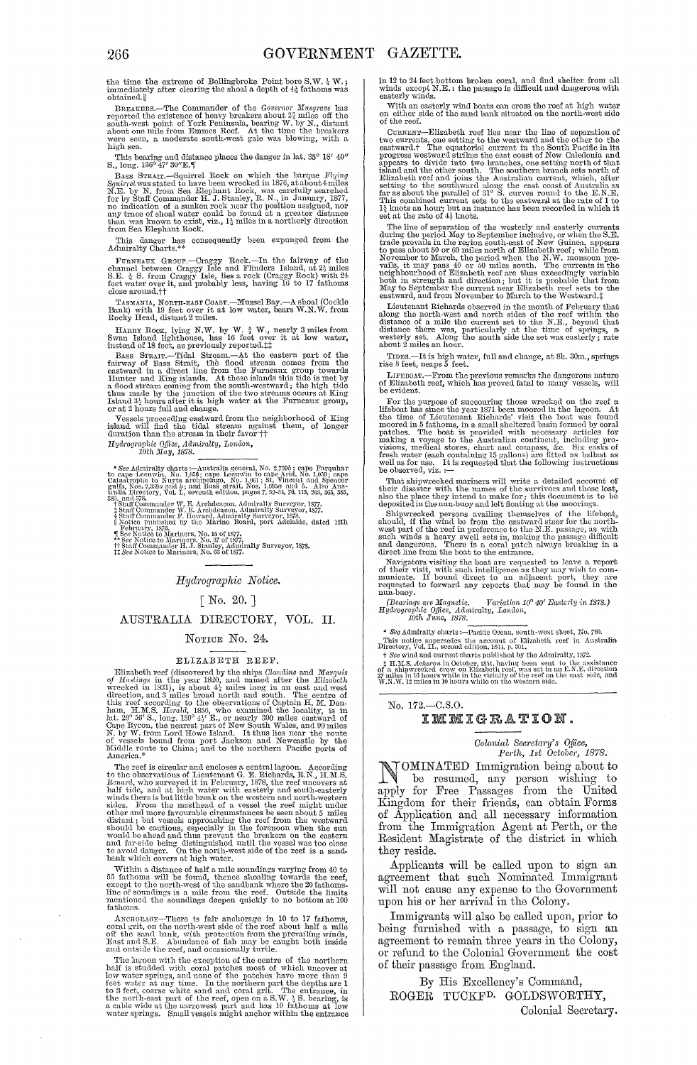the time the extreme of Bollingbroke Point bore S.W.  $\frac{1}{2}$  W.; immediately after clearing the shoal a depth of  $4\frac{1}{4}$  fathoms was obtained.ll

 $\begin{tabular}{l|c|c|c|c} \hline $\mathbf{sc} \mathbf{source} \mathbf{u}_\mathrm{II}$ & Commander of the *Government* } \\ \hline \textbf{B} \mathbf{gap} \mathbf{area} \mathbf{R} \mathbf{B} \mathbf{a} & \textbf{reptel} \mathbf{e} \mathbf{a} & \textbf{reptel} \mathbf{e} \\ \hline \textbf{soth} \mathbf{w} \mathbf{a} & \textbf{to} \mathbf{b} & \textbf{to} \mathbf{f} \mathbf{b} & \textbf{to} \mathbf{f} \\ \hline \textbf{soth} \mathbf{w} \mathbf$ 

This bearing and distance places the danger in lat, 35° 18′ 40′ S., long. 136° 47′ 30″E.¶

S., long. 136° 47' 30"E. [[<br>
BASS STRAIT:—Squirrel Rock on which the barque  $Flying$ <br>
Baus Straited to have been wrecked in 1876, at about 4 miles<br>
N.E. by N. from Sea Elephant Rock, was carefully searched<br>
for by Staff Comma

This danger has consequently been expunged from the Admiralty Charts. <br> <br> <br> $\ast$ 

FURNEAUX CHARGE TROOP. --Craggy Rock.--In the fairway of the channel between Craggy Isle and Flinders Island, at  $2\frac{1}{2}$  miles S.E.  $\frac{1}{2}$  A S. Ivom Craggy Isle, lies a rock (Craggy Rock) with  $24$  feet water over it

TASMANIA, NORTH-RAST COAST.—Mussel Bay.—A shoal (Cockle Bank) with 19 feet over it at low water, bears W.N.W. from Rocky Head, distant 2 miles.

nocky Head, uskala 2 mies.<br>
Hanny Roox, lying N.W. by W.  $\frac{3}{4}$  W., nearly 3 miles from<br>
Hanny Roox, lying N.W. by W.  $\frac{3}{4}$  W., nearly 3 miles from<br>
Bwan Island lighthouse, has 16 feet over it at low water,<br>
instan

The mean of the means of the neighborhood of King shand will find the tidal stream against them, of longer duration than the stream in their favor  $\dagger\dagger$ Hydrographic Office, Admiralty, London, 10th May, 1878.

\* See Admirality charts :—<br>Australia general, No. 2,759 $b$ ; cape Farquhar<br>to cape Leeuwin, No. 1,631; cape Leeuwin to cape Arid, No. 1,653; cape<br>Catastrophe to Nayts architectary and 1, and 2, and 2, and 2, and 2, and 3,

Hydrographic Notice.

## $[No. 20.]$

# AUSTRALIA DIRECTORY, VOL. II.

## NOTICE No. 24.

#### ELIZABETH REEF.

ELIZABETH REEF.<br>
ELIZABETH REEF.<br>
Elizabeth reef (discovered by the ships Claudine and Marquis<br>
of Hastings in the year 1820, and named after the Elizabeth<br>
wecked in 1831), is about 4<sup>1</sup><sub>2</sub> miles long in an east and west

America.\*<br>
The reef is circular and encloses a central lagoon. According<br>
The reef is circular and encloses a central lagoon. According<br>
To the observations of Lieutenant G. E. Richards, R.N., H.M.S.<br>
Renard, who surveyed

within a distance of half a mile soundings varying from 40 to 55 fathoms will be found, thence shooling towards the reef, except to the north-west of the sandbank where the 20 fathoms-<br>I'm of soundings is a mile from the r fathoms.

ANCHORAGE—There is fair anchorage in 10 to 17 fathoms,<br>coral grit, on the north-west side of the reef about half a mile<br>off the sand bank, with protection from the prevailing winds,<br>East and S.E. Abundance of fish may be c

and outside the reef, and occasionally turtle.<br>The layon with the exception of the contentral half is studded with coral patches most of which uncover at<br>low water springs, and none of the patches have more than 9<br>feet wa

in 12 to 24 feet bottom broken coral, and find shelter from all winds except  $\rm N.E.$ : the passage is difficult and dangerous with easterly winds.

with an easterly wind boats can cross the reef at high water<br>on either side of the sand bank situated on the north-west side<br>of the reef.

of the reef.<br>
corrected reef lies near the line of separation of<br>
Connex ––Elizabeth reef lies near the line of separation of<br>
two currents, one setting to the westward and the other to the<br>
eastward,<sup>†</sup> The equatorial cu

set at the rate of  $4\frac{1}{4}$  knots.<br>The line of  $4\frac{1}{4}$  knots.<br>The line of sparation of the westerly and easterly currents<br>during the period May to September inclusive, or when the S.E.<br>trade prevails in the region so

Lieutenant Richards observed in the month of February that Lettenant identify observed in the month of rebruary that<br>along the north west and north sides of the reef within the<br>distance of a mile the current set to the N.E., beyond that<br>distance there was, particularly at the tim

TIDES.—It is high water, full and change, at 8h. 30m., springs rise 8 feet, neaps 5 feet.

LIFEBOAT.—From the previous remarks the dangerous nature<br>of Elizabeth reef, which has proved fatal to many vessels, will be evident.

be evident.<br>To the purpose of succouring those wrecked on the reef a Hieboat has since the year 1871 been moored in the lagoon. At the time of Lieutenant Eichards' visit the boat was found packed moored in 5 fathoms, in a

Final shipwicked mariners will write a detailed account of their disaster with the names of the survivors and those lost, also the place they intend to make for, this document is to be deposited in the num-buoy and left fl

deposited in the nun-buoy and left floating at the moorings.<br>Shipweezed persons availing themselves of the lifeboat,<br>Should, if the wind be from the eastward steer for the north-<br>west part of the reef in preference to the

 $\left(\begin{matrix} Bearings\ are\ Magnetic,\ &\ Variation\ 10^{\rm o}\ 40'\ Backerly\ in\ 1878.\end{matrix}\right) \\ Hydrographic\ 0j\mbox{fice},\ Admiralty,\ London,\ 10th\ June,\ 1878. \end{matrix}$ 

See Admiralty charts: -- Pacific Ocean, south-west sheet, No. 780

Fits notice supersedes the account of Elizabeth reof in Australia<br>Directory, Vol. II., second edition, 1894, p. 301.<br>This notice supersedes the account of Elizabeth reof in Australia<br>Directory, Vol. II., second edition, 1

### No. 172,-C.S.O. IMMIGRATION.

# Colonial Secretary's Office,<br>Perth, 1st October, 1878.

**TOMINATED** Immigration being about to be resumed, any person wishing to apply for Free Passages from the United Kingdom for their friends, can obtain Forms<br>of Application and all necessary information<br>from the Immigration Agent at Perth, or the Resident Magistrate of the district in which they reside.

Applicants will be called upon to sign an agreement that such Nominated Immigrant will not cause any expense to the Government upon his or her arrival in the Colony.

Immigrants will also be called upon, prior to being furnished with a passage, to sign an agreement to remain three years in the Colony, or refund to the Colonial Government the cost of their passage from England.

By His Excellency's Command, ROGER TUCKF<sup>D.</sup> GOLDSWORTHY, Colonial Secretary.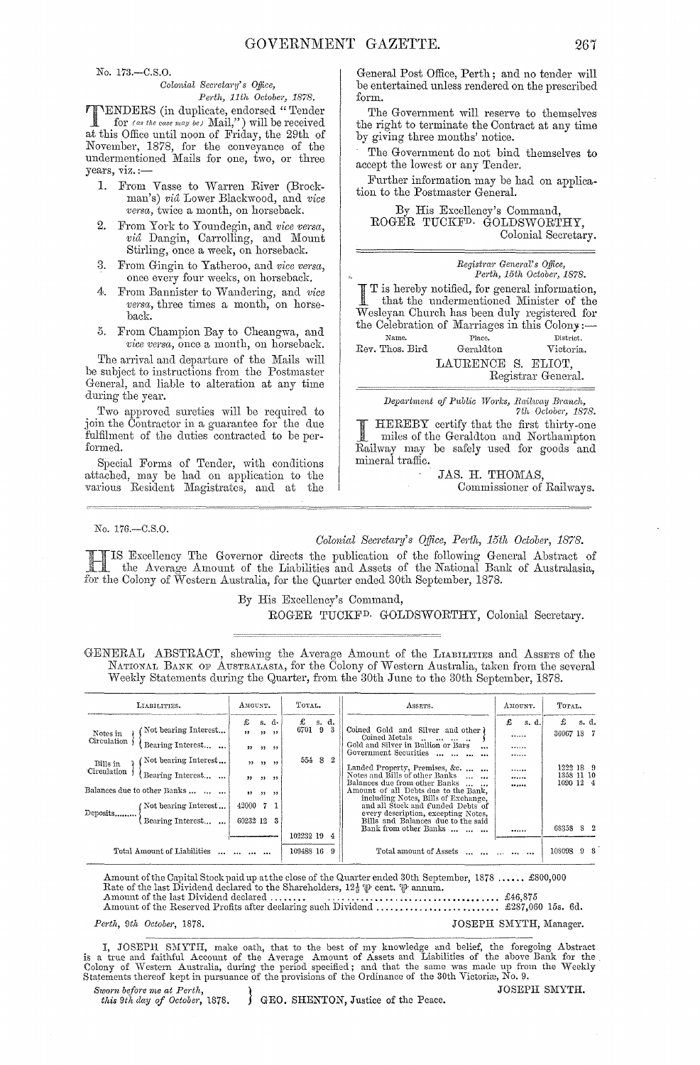No. 173.-C.S.O.

# *Colonial Secretary's Office,*<br>*Perth, 11th October, 1878.*

*Perth, 11th October, 1878.*<br>
TENDERS (in duplicate, endorsed "Tender<br>
for (as the case may be) Mail,") will be received<br>
at this Office until near of Friday the 20th of for *(as the case may be)* Mail,") will be received at this Office until noon of Friday, the 29th of November, 1878, for the conveyance of the undermentioned Mails for one, two, or three years,  $viz. :=$ 

- 1. From Vasse to Warren River (Brockman's) *vid* Lower Blackwood, and *vice versa*, twice a month, on horseback.
- 2. From York to Youndegin, and *vice versa*, *via* Dangin, Carrolling, and Mount Stirling, once a week, on horseback.
- 3. From Gingin to Yatheroo, and *vice versa*, once every four weeks, on horseback.
- 4. From Bannister to Wandering, and *vice versa*, three times a month, on horseback.
- 5. From Champion Bay to Cheangwa, and *vice versa,* once a month, on horseback.

The arrival and departure of the Mails will l)e subject to instructions from the Postmaster General, and liable to alteration at any time during the year.

Two approved sureties will be required to join the Contractor in a guarantee for the due fulfilment of the duties contracted to be performed.

Special Forms of Tender, with conditions attached, may be hacl on application to the various Resident Magistrates, and at the

General Post Office, Perth; and no tender will be entertained unless rendered on the prescribed form.

The Government will reserve to themselves the right to terminate the Contract at any time by giving three months' notice.

The Government do not bind themselves to accept the lowest or any Tender.

Further information may be had on application to the Postmaster General.

By His Excellency's Command, ROGER TUCKFD. GOLDSWORTHY, Colonial Secretary.

*Registrar Geneml's Office, Pel·th, 15th Octo be)',* 1878. I T is hereby notified, for general information,<br>that the undermentioned Minister of the that the undermentioned Minister of the Wesleyan Church has been duly registered for the Celebration of Marriages in this Colony:-

**Nmnc.**  Rev. Thos. Bird **Place. District.**  Geraldton Victoria. LAURENCE S. ELIOT, Registrar General.

 $Department of Public Works, Railway Branch,$ *7th October, 1878.* 

HEREBY certify that the first thirty-one miles of the Geraldton and Northampton Railway may be safely used for goods and mineral traffic.

JAS. H. THOMAS, Commissioner of Railways.

#### No. 176.-C.S.0.

# *Colonial Secretary's Office, Perth, 15th October, 1878.*

Excellency The Governor directs the publication of the following General Abstract of the Average Amount of the Liabilities and Assets of the National Bank of Australasia, for the Colony of Western Australia, for the Quarter ended 30th September, 1878.

By His Excellency's Command,

# ROGER TUCKFD. GOLDSWORTHY, Colonial Secretary.

GENERAL ABSTRACT, shewing the Average Amount of the LIABILITIES and ASSETS of the NATIONAL BANK OF AUSTRALASIA, for the Colony of Western Australia, taken from the several Weekly Statements during the Quarter, from the 30th June to the 30th September, 1878.

| LIABILITIES.                                                                                                            | AMOUNT.                                                                     | TOTAL.                                          | ASSETS.                                                                                                                                                                                                                                                                                                     | AMOUNT.                      | TOTAL.                                 |  |
|-------------------------------------------------------------------------------------------------------------------------|-----------------------------------------------------------------------------|-------------------------------------------------|-------------------------------------------------------------------------------------------------------------------------------------------------------------------------------------------------------------------------------------------------------------------------------------------------------------|------------------------------|----------------------------------------|--|
| Not bearing Interest<br>Notes in<br>Circulation<br>Bearing Interest<br>Not bearing Interest<br>Bills in                 | £<br>s. d.<br>, ,<br>$33 - 33$<br>12 11 11 17<br>$22 - 22$<br>$\rightarrow$ | £<br>s. d.<br>9 <sub>3</sub><br>6701<br>554 8 2 | Coined Gold and Silver and other )<br>Coined Metals<br>and the second and<br>Gold and Silver in Bullion or Bars<br>$\ddotsc$<br>Government Securities<br>Landed Property, Premises, &c.                                                                                                                     | £<br>s. d.<br><br><br><br>   | £<br>s. d.<br>36067 18 7<br>1222 18 9  |  |
| Circulation<br>Bearing Interest<br>Balances due to other Banks<br>(Not bearing Interest<br>Deposits<br>Bearing Interest | 22 32 32 33<br>22, 32, 32<br>42000<br>71<br>60232 12                        |                                                 | Notes and Bills of other Banks<br>Balances due from other Banks<br>$\overline{a}$<br>Amount of all Debts due to the Bank,<br>including Notes, Bills of Exchange,<br>and all Stock and Funded Debts of<br>every description, excepting Notes,<br>Bills and Balances due to the said<br>Bank from other Banks | <br>                         | 1358 11 10<br>1090 12 4<br>68358<br>82 |  |
| Total Amount of Liabilities                                                                                             | $\cdots$ $\cdots$ $\cdots$                                                  | 102232 19 4<br>109488 16 9                      | Total amount of Assets                                                                                                                                                                                                                                                                                      | <br>and the contract and the | 108098<br>98                           |  |

Amount of the Capital Stock paid up atthe close of the Quarter ended 30th September, 1878 ..••.• £800,000 Rate of the last Dividencl declared to the Shareholders, 12~ W' cent. W· annum. Amount of the last Dh-idend declared. .. ... .. . ................................... £46,875

Amount of the Reserved Profits after declaring such Dividend ....• , •.... '" .... '" '" ., £287,060 15s. 6d.

*Perth, 9th October, 1878.* **JOSEPH SMYTH, Manager. JOSEPH SMYTH, Manager.** 

I, JOSEPH SMYTH, make oath, that to the best of my knowledge and belief, the foregoing Abstract<br>is a true and faithful Account of the Average Amount of Assets and Liabilities of the above Bank for the<br>Colony of Western Aus *Sworn before me at Perth*, <br>*this 9th day of October*, 1878. <br>*GEO. SHENTON, Justice of the Peace.* JOSEPH SMYTH.

GEO. SHENTON, Justice of the Peace.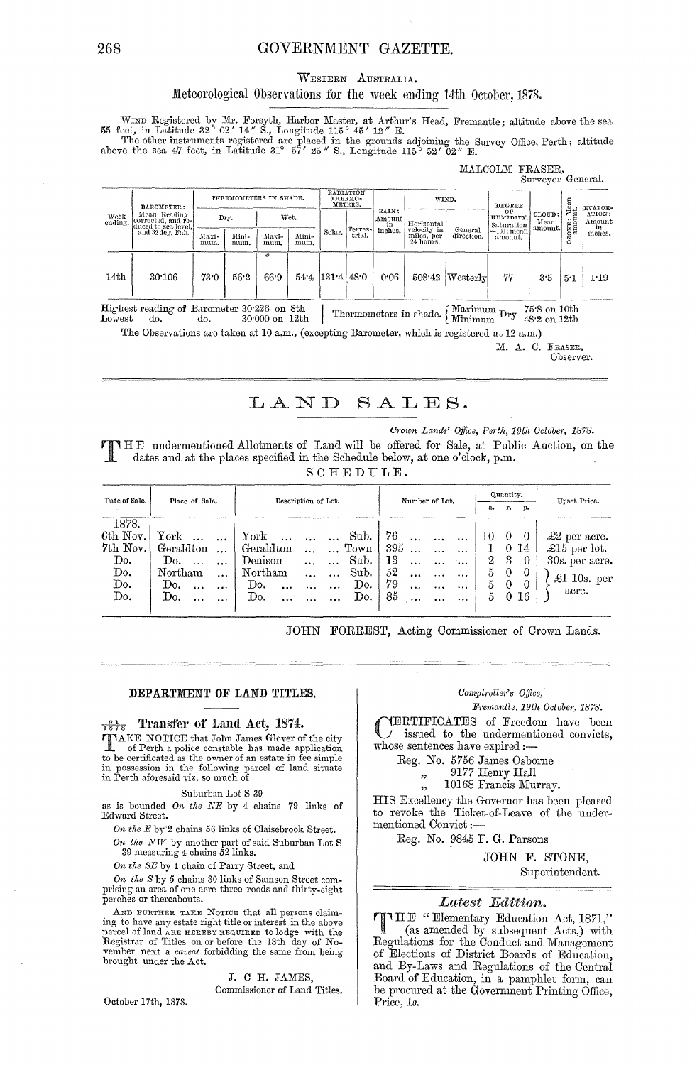## GOVERNMENT GAZETTE.

#### WESTERN AUSTRALIA.

# Meteorological Observations for the week ending 14th October, 1878.

WIND Registered by Mr. Forsyth, Harbor Master, at Arthur's Head, Fremantle; altitude above the sea 55 feet, in Latitude 32° 02' 14" S., Longitude 115° 45' 12" E.<br>The other instruments registered are placed in the grounds

#### MALCOLM FRASER. Surveyor General.

| Week<br>ending. | BAROMETER:                                                | THERMOMETERS IN SHADE. |               | RADIATION<br>THERMO-<br>METERS. |               | RAIN:                 | WIND.             |                         | <b>DEGREE</b>                                        |                                          | $\mathop{\rm Mean}_{\rm int}$                          | <b>EVAPOR-</b>                   |                               |                                   |
|-----------------|-----------------------------------------------------------|------------------------|---------------|---------------------------------|---------------|-----------------------|-------------------|-------------------------|------------------------------------------------------|------------------------------------------|--------------------------------------------------------|----------------------------------|-------------------------------|-----------------------------------|
|                 | Mean Reading<br>corrected, and re-<br>duced to sea level. |                        | Dry.          |                                 | Wet.          |                       | Terres-<br>trial. | Amount<br>in<br>inches. | Horizontal<br>velocity in<br>miles, per<br>24 hours. | General<br>direction.                    | ОF<br>HUMIDITY.<br>Saturation<br>=100; mean<br>amount. | CLOUD:<br>Mean<br>amount.        | يزمم<br>OXE <sub>3</sub><br>Š | ATION:<br>Amount<br>in<br>inches. |
|                 | and 32 deg. Fah.                                          | Maxi-<br>mum.          | Mini-<br>mum. | Maxi-<br>mum.                   | Mini-<br>mum. | Solar.                |                   |                         |                                                      |                                          |                                                        |                                  |                               |                                   |
|                 |                                                           |                        |               | o                               |               |                       |                   |                         |                                                      |                                          |                                                        |                                  |                               |                                   |
| 14th            | 30.106                                                    | 73.0                   | 56.2          | 66.9                            |               | $54.4$ $131.4$ $48.0$ |                   | 0.06                    | 508.42                                               | $ \mathrm{Westerlv} $                    | 77                                                     | 3.5                              | 5.1                           | 1.19                              |
| Lowest          | Highest reading of Barometer 30.226 on 8th<br>do.         | do.                    |               | 30 000 on 12th                  |               |                       |                   |                         | Thermometers in shade.                               | $\sqrt{\text{Maximum }Dry}$ /<br>Minimum |                                                        | 75.8 on 10th<br>$48.2$ on $12th$ |                               |                                   |

The Observations are taken at 10 a.m., (excepting Barometer, which is registered at 12 a.m.)

M. A. C. FRASER,

Observer.

#### LAND SALES.

Crown Lands' Office, Perth, 19th October, 1878.

**FINHE** undermentioned Allotments of Land will be offered for Sale, at Public Auction, on the dates and at the places specified in the Schedule below, at one o'clock, p.m.

 $SCHEDULE.$ 

| Date of Sale.<br>Place of Sale. |                        | Description of Lot.                                    | Number of Lot.                           | Quantity.                   | Upset Price.         |  |
|---------------------------------|------------------------|--------------------------------------------------------|------------------------------------------|-----------------------------|----------------------|--|
|                                 |                        |                                                        | r.<br>a.<br>p.                           |                             |                      |  |
| 1878.                           |                        |                                                        |                                          |                             |                      |  |
| $6th$ Nov.                      | York<br>$\cdots$       | York<br>Sub.                                           | - 76<br>$\dddotsc$<br>$\cdots$           | $\overline{0}$<br>10<br>- 0 | $\pounds2$ per acre. |  |
| 7th Nov.                        | Geraldton<br>$\ddotsc$ | $\blacksquare$ Geraldton<br>$\dots$ $\dots$ Town   395 | $\cdots$                                 | $0\;14$<br>1                | £15 per lot.         |  |
| Do.                             | Do.<br>$\ddotsc$       | Sub.<br>Denison<br>$\sim 100$ km s $^{-1}$             | -13<br>$\dddot{\phantom{0}}$<br>$\cdots$ | -3<br>$^{2}$<br>$\bf{0}$    | 30s. per acre.       |  |
| Do.                             | Northam<br>$\cdots$    | Northam<br>Sub.<br>$\sim$                              | 52<br>$\ddotsc$<br>$\cdots$              | -0<br>$\theta$<br>5.        | $\pounds1$ 10s. per  |  |
| Do.                             | Do.<br>$\ddotsc$       | Do.<br>Do.<br>$\ddotsc$<br>$\ddotsc$                   | 79<br>$\cdots$<br>$\sim 100$             | 5.<br>-0<br>$\theta$        |                      |  |
| Do.                             | Do.                    | Do.<br>Do.<br>$\ddotsc$                                | 85                                       | $5 \t0 \t16$                | acre.                |  |
|                                 |                        |                                                        |                                          |                             |                      |  |

JOHN FORREST, Acting Commissioner of Crown Lands.

#### DEPARTMENT OF LAND TITLES.

# $\frac{91}{1878}$  Transfer of Land Act, 1874.

TAKE NOTICE that John James Glover of the city The official police constable has made application<br>to be certificated as the owner of an estate in fee simple<br>in possession in the following parcel of land situate<br>in Perth aforesaid viz. so much of

#### Suburban Lot S 39

as is bounded On the  $NE$  by 4 chains  $79$  links of Edward Street.

On the E by 2 chains 56 links of Claisebrook Street.

On the  $NW$  by another part of said Suburban Lot S 39 measuring 4 chains 52 links.

On the SE by 1 chain of Parry Street, and

On the S by 5 chains 30 links of Samson Street com prising an area of one acre three roods and thirty-eight perches or thereabouts.

AND FURTHER TAKE NOTICE that all persons claiming to have any estate right title or interest in the above parcel of land ARE HEREBY REQUIRED to lodge with the Registrar of Titles on or before the 18th day of November next a *caveat* forbidding the same from being brought under the Act.

J. C H. JAMES.

Commissioner of Land Titles.

## Comptroller's Office,

Fremantle, 19th October, 1878.

YERTIFICATES of Freedom have been issued to the undermentioned convicts, whose sentences have expired :-

Reg. No. 5756 James Osborne<br>
,, 9177 Henry Hall

10168 Francis Murray.

HIS Excellency the Governor has been pleased to revoke the Ticket-of-Leave of the undermentioned Convict:-

Reg. No. 9845 F. G. Parsons

JOHN F. STONE,

Superintendent.

## Latest Edition.

THE "Elementary Education Act, 1871,"<br>(as amended by what (as amended by subsequent Acts,) with<br>Regulations for the Conduct and Management of Elections of District Boards of Education, and By-Laws and Regulations of the Central Board of Education, in a pamphlet form, can be procured at the Government Printing Office, Price, 1s.

October 17th, 1878.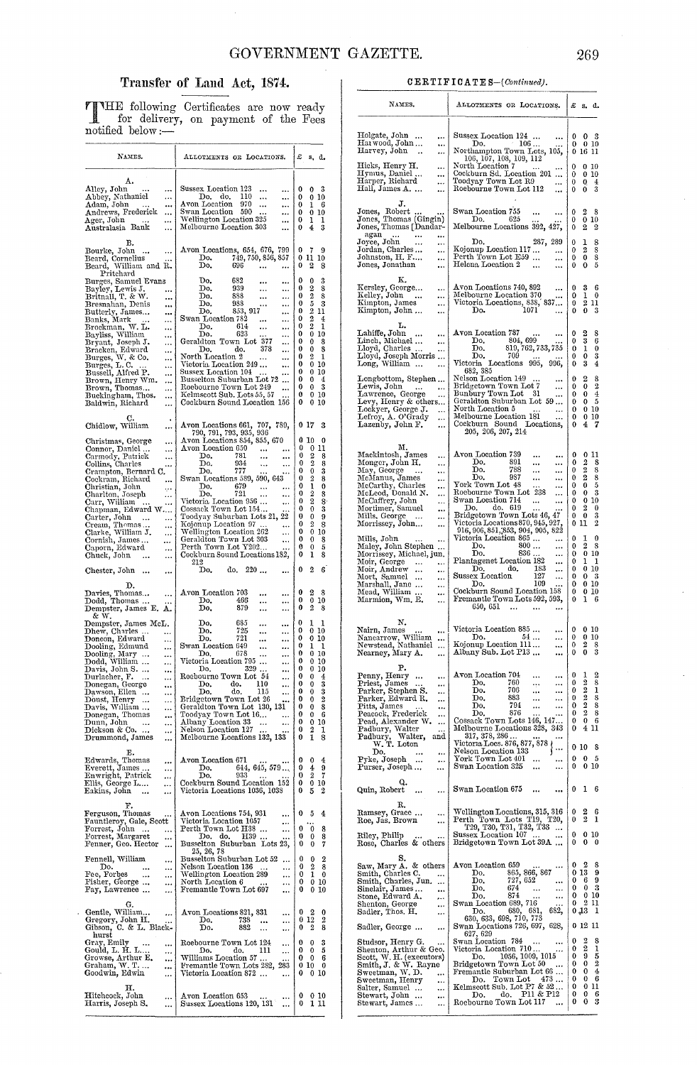# Transfer of Land Act, 1874.

THE following Certificates are now ready<br>for delivery, on payment of the Fees<br>notified below :-

| NAMES.                                                                                    | ALLOTMENTS OR LOCATIONS.                                                                                         | £<br>s, d.                                            |
|-------------------------------------------------------------------------------------------|------------------------------------------------------------------------------------------------------------------|-------------------------------------------------------|
| А.<br>Alley, John<br>$\ddotsc$                                                            | Sussex Location 123<br><br><br>110<br>Do. do.                                                                    | 3<br>0<br>0                                           |
| Abbey, Nathaniel<br><br>Adam, John<br>                                                    | <br>$\cdots$<br>Avon Location<br>970<br><br>                                                                     | 0<br>0<br>10<br>0<br>6<br>ı                           |
| Andrews, Frederick<br>                                                                    | Swan Location 590<br><br>Wellington Location 325                                                                 | 0<br>0<br>10<br>0<br>ı                                |
| Ager, John<br><br>Australasia Bank<br>$\cdots$                                            | <br>Melbourne Location 303<br>                                                                                   | ı<br>3<br>0<br>4                                      |
| В.<br>Bourke, John<br><br>$\ddotsc$                                                       | Avon Locations, 654, 676, 799<br>Do. 749, 750, 856, 857                                                          | 0<br>7<br>9                                           |
| Beard, Cornelius<br>Beard, William and R.                                                 | Do.<br>696<br>$\ddotsc$                                                                                          | 11<br>0<br>10<br>0<br>2<br>8                          |
| Pritchard<br>Burges, Samuel Evans                                                         | Do.<br>682<br><br>                                                                                               | 3<br>0<br>0                                           |
| Bayley, Lewis J.<br>                                                                      | 939<br>Do.<br><br><br>888<br>Do.                                                                                 | 0<br>2<br>8<br>$\overline{2}$<br>0<br>8               |
| Britnall, T. & W.<br><br>Bresnahan, Denis<br>                                             | $\ddot{\phantom{0}}$<br><br>Do.<br>938<br>                                                                       | 5<br>0<br>3                                           |
| Butterly, James<br><br>Banks, Mark<br>$\cdots$<br>                                        | 853, 917<br>Do.<br><br>Swan Location 782<br><br>                                                                 | $\overline{2}$<br>0<br>11<br>$\overline{2}$<br>0<br>4 |
| Brockman, W. L.<br>$\ddotsc$                                                              | 614<br>Do.<br><br><br>Do.<br>623                                                                                 | $\overline{2}$<br>0<br>1<br>0<br>0<br>10              |
| Bayliss, William<br>Bryant, Joseph J.<br><br>                                             | <br>Geraldton Town Lot 377<br>                                                                                   | 0<br>0<br>8                                           |
| Bracken, Edward<br>Burges, W. & Co.<br>Burges, L. C.<br><br>$\ddotsc$                     | 378<br>do.<br>Do.<br><br>North Location 2<br>                                                                    | 0<br>0<br>8<br>0<br>2<br>1                            |
| <br>Durges, D. C.<br>Bussell, Alfred P.<br>Puss                                           | Victoria Location 249<br><br>Sussex Location 104<br>                                                             | 0<br>0<br>10<br>0<br>0<br>10                          |
| <br>Brown, Henry Wm.<br>Brown, Thomas<br>                                                 | Busselton Suburban Lot 72<br>                                                                                    | 0<br>0<br>4                                           |
| <br>Buckingham, Thos.<br>                                                                 | Roebourne Town Lot 249<br>Kelmscott Sub. Lots 55, 57<br>                                                         | 0<br>3<br>0<br>0<br>0<br>10                           |
| Baldwin, Richard<br>                                                                      | Cockburn Sound Location 156                                                                                      | 0<br>0<br>10                                          |
| C.<br>Chidlow, William<br>                                                                | Avon Locations 661, 707, 789,<br>790, 791, 793, 935, 936                                                         | 0 17<br>3<br>0<br>10<br>0                             |
| Christmas, George<br><br>Connor, Daniel<br>$\ldots$                                       | Avon Locations 854, 855, 670<br>Avon Location 650<br>$\cdots$<br>                                                | 0<br>0<br>11                                          |
| Carmody, Patrick<br>$\ddotsc$<br>Collins, Charles<br>                                     | 781<br>Do.<br><br><br>934<br>Do.<br><br>                                                                         | 0<br>2<br>8<br>$\overline{2}$<br>0<br>8               |
| Crampton, Bernard C.<br>Cockram, Richard                                                  | 777<br>Do.<br><br>Swan Locations 589, 590, 643                                                                   | 0<br>0<br>3<br>0<br>2<br>8                            |
| $\cdots$<br>Christian, John<br>ę٠                                                         | Do.<br>679<br>$\cdots$<br><br>721                                                                                | 1<br>0<br>0<br>2<br>0                                 |
| Charlton, Joseph<br>$\ldots$<br>Carr, William<br>$\ddotsc$                                | Do.<br><br>Victoria Location 956<br>                                                                             | 8<br>2<br>0<br>8                                      |
| Chapman, Edward W<br>                                                                     | Cossack Town Lot 154<br>Toodyay Suburban Lots 21, 22                                                             | 0<br>0<br>3<br>0<br>0<br>9                            |
| Carter, John<br>Cream, Thomas<br>Clarke, William J.<br>                                   | Kojonup Location 97<br>$\ddotsc$<br>Wellington Location 262                                                      | 0<br>2<br>8<br>0<br>0<br>10                           |
| $\cdots$<br>Cornish, James<br>$\cdots$                                                    | $\cdots$<br>Geraldton Town Lot 303<br>                                                                           | 0<br>0<br>8                                           |
| Caporn, Edward<br><br>Chuck, John<br><br>$\cdots$                                         | Perth Town Lot Y202<br>Cockburn Sound Locations 182,                                                             | 0<br>0<br>5<br>0<br>ı<br>8                            |
| Chester, John<br>$\cdots$<br>$\cdots$                                                     | 212<br>220<br>do,<br>Do,<br>                                                                                     | 2<br>6<br>0                                           |
| D.<br>Davies, Thomas<br>Dodd, Thomas<br>$\cdots$<br>.                                     | Avon Location 703<br><br>$\cdots$<br>466<br>Do,<br><br>$\cdots$                                                  | 0<br>2<br>8<br>0<br>0<br>10                           |
| Dempster, James E. A.<br>& W.                                                             | 879<br>Do.<br><br><br>685<br>Do.                                                                                 | $\boldsymbol{2}$<br>0<br>8<br>0<br>1<br>1             |
| Dempster, James McL.<br>Dhew, Charles<br>                                                 | <br>$\cdots$<br>725<br>Do.<br><br>                                                                               | 0<br>0<br>10                                          |
| Doncon, Edward<br><br>                                                                    | 721<br>Do.<br><br>$\ddotsc$<br>Swan Location 649<br><br>                                                         | 0<br>0<br>10<br>0<br>ı<br>ı                           |
| Dooling, Edmund<br>Dooling, Mary<br>Dodd, William<br>Davis, John S.<br><br>               | Do.<br>678<br><br>$\ddotsc$<br>Victoria Location 795<br>$\cdots$<br>$\cdots$                                     | 0<br>0<br>10<br>0<br>0<br>10                          |
| <br>Durlacher, F.                                                                         | 329<br>Do.<br><br>Roebourne Town Lot 54                                                                          | 0<br>0<br>10<br>0<br>0<br>4                           |
| <br>Donegan, George<br>Dawson, Ellen<br>$\cdots$                                          | <br>110<br>Do.<br>do.<br>                                                                                        | 0<br>3<br>0                                           |
| $\cdots$<br>Doust, Henry<br>$\ddotsc$                                                     | Do.<br>do,<br>115<br><br>Bridgetown Town Lot 26                                                                  | 0<br>3<br>0<br>$\overline{2}$<br>0<br>0               |
| Davis, William<br><br>Donegan, Thomas<br>                                                 | Geraldton Town Lot 130, 131<br>Toodyay Town Lot 16<br>                                                           | 0<br>S<br>0<br>0<br>0<br>- 6                          |
| Dunn, John<br>$\sim$ 100<br>$\cdots$<br>Dickson & Co.                                     | Albany Location 33<br>$\cdots$<br><br>Nelson Location 127                                                        | $\bf{0}$<br>0 10<br>$\theta$<br>2<br>L                |
| $\cdots$<br>Drummond, James<br>$\ldots$                                                   | Melbourne Locations 132, 133                                                                                     | 1<br>$\bf{0}$<br>8                                    |
| Е.<br>Edwards, Thomas<br>Everett, James<br>                                               | Avon Location 671                                                                                                | 0<br>4<br>0                                           |
| $\ldots$<br>Enwright, Patrick<br>$\cdots$                                                 | 644, 645, 579<br>Do.<br>933<br>Do.                                                                               | 0<br>4<br>9<br>$\boldsymbol{2}$<br>0<br>7             |
| Ellis, George L<br>                                                                       | Cockburn Sound Location 152                                                                                      | 0<br>0<br>10                                          |
| Eakins, John<br>$\cdots$<br><br>F.                                                        | Victoria Locations 1036, 1038                                                                                    | 0<br>2<br>5                                           |
| Ferguson, Thomas<br>٠.                                                                    | Avon Locations 754, 931<br><br>Victoria Location 1057                                                            | 4<br>0<br>5                                           |
| Fauntleroy, Gale, Scott<br>Forrest, John<br>Forrest, Margaret<br>$\cdots$                 | <br>Perth Town Lot H38<br>                                                                                       | 0<br>$\bf{0}$<br>8                                    |
| $\cdots$<br>Fenner, Geo. Hector<br>                                                       | Do. do. H39<br>Busselton Suburban Lots 23,                                                                       | 0<br>0<br>8<br>7<br>0<br>0                            |
| Fennell, William<br>                                                                      | 25, 26, 78<br>Busselton Suburban Lot 52<br>$\cdots$                                                              | 2<br>0<br>0                                           |
| Do.<br><br>$\cdots$<br>Fee, Forbes                                                        | Nelson Location 136<br>$\cdots$<br>Wellington Location 289                                                       | 8<br>0<br>2<br>0<br>1<br>0                            |
| Fee, Forbes<br>Fisher, George<br>$\cdots$<br>                                             | <br>North Location 6<br>                                                                                         | 0<br>010                                              |
| Fay, Lawrence<br>                                                                         | Fremantle Town Lot 697<br>                                                                                       | 0<br>0 10                                             |
| G.<br>Gentle, William.<br>$\cdots$<br>Gregory, John H.<br>Gibson, C. & L. Black-<br>hurst | Avon Locations 821, 831<br>$\cdots$<br>Do.<br>738<br>$\cdots$<br>$\cdots$<br>Do.<br>882<br>$\ddotsc$<br>$\cdots$ | 0<br>2<br>0<br>012<br>2<br>2<br>8<br>0                |
| Gray, Emily<br><br>$\ddotsc$                                                              | Roebourne Town Lot 124<br>                                                                                       | 3<br>0<br>0                                           |
| Gould, L. H. L<br>$\cdots$<br>$\cdots$                                                    | do.<br>111<br>Do.<br><br>Williams Location 57                                                                    | 0<br>5<br>0<br>$0\quad 0$<br>6                        |
| Growse, Arthur E.<br>Graham, W. T<br>Goodwin, Edwin<br><br>                               | Fremantle Town Lots 282,<br>283<br>Victoria Location 872<br>                                                     | 0<br>10<br>0<br>0<br>010                              |
| н.                                                                                        |                                                                                                                  |                                                       |
| Hitchcock, John<br><br>Harris, Joseph S.<br>                                              | Avon Location 653<br>$\cdots$<br>Sussex Locations 120, 131<br>                                                   | 0<br>010<br>1 11<br>0                                 |

#### $CERTIFICATES - (Continued).$

| NAMES.                                                                                                                                                                                                                                                                               | ALLOTMENTS OR LOCATIONS.                                                                                                                                                                                                                                                                                                                              | £                                              | s.                                                             | α.                                                      |
|--------------------------------------------------------------------------------------------------------------------------------------------------------------------------------------------------------------------------------------------------------------------------------------|-------------------------------------------------------------------------------------------------------------------------------------------------------------------------------------------------------------------------------------------------------------------------------------------------------------------------------------------------------|------------------------------------------------|----------------------------------------------------------------|---------------------------------------------------------|
| Holgate, John<br>$\ddotsc$<br>Har wood, John …<br><br>Harvey, John<br><br>Hicks, Henry H.<br><br>Hymus, Daniel<br>Harper, Richard<br>                                                                                                                                                | Sussex Location $124$<br>$\cdots$<br>106<br>Do.<br>Northampton Town Lots, 105,<br>106, 107, 108, 109, 112<br>North Location 7<br>Cockburn Sd. Location 201<br>                                                                                                                                                                                        | 0<br>0<br>0<br>0<br>0                          | 0<br>0<br>16<br>0<br>0                                         | З<br>-10<br>п<br>10<br>10                               |
| <br>Hall, James A.<br><br>J.                                                                                                                                                                                                                                                         | Toodyay Town Lot R9<br><br>Roebourne Town Lot 112<br>                                                                                                                                                                                                                                                                                                 | 0<br>0                                         | 0<br>0                                                         | 4<br>3                                                  |
| Jones, Robert<br>Jones, Thomas (Gingin)<br>Jones, Thomas [Dandar-<br>agan<br>$\cdots$                                                                                                                                                                                                | Swan Location 755<br><br><br>625<br>Do.<br>Melbourne Locations 392, 427,                                                                                                                                                                                                                                                                              | 0<br>0<br>0                                    | 2<br>0<br>2                                                    | 8<br>10<br>2                                            |
| Joyce, John<br><br>Jordan, Charles<br>$\cdots$<br>Johnston, H. F….<br><br>Jones, Jonathan<br>                                                                                                                                                                                        | 287, 289<br>Do,<br>Kojonup Location 117<br><br>Perth Town Lot E59<br><br>Helcna Location 2<br><br>                                                                                                                                                                                                                                                    | 0<br>0<br>0<br>0                               | ı<br>2<br>0<br>0                                               | 8<br>8<br>8<br>5                                        |
| ĸ.<br>Kersley, George<br>Kelley, John<br>$\cdots$<br>1<br>Kimpton, James<br><br>Kimpton, John<br><br>L.                                                                                                                                                                              | Avon Locations 740, 892<br><br>Melbourne Location 370<br>Victoria Locations, 838, 837<br>1071<br>Do.<br>                                                                                                                                                                                                                                              | 0<br>0<br>0<br>0                               | 3<br>ı<br>2<br>0                                               | 6<br>0<br>11<br>3                                       |
| Lahiffe, John<br>Linch, Michael<br>Lloyd Charles<br>$\cdots$<br><br>Lloyd, Charles<br>$\cdots$<br>Lloyd, Joseph Morris<br>Long, William                                                                                                                                              | Avon Location 787<br><br>$\begin{array}{c} 1787 \ 804, 699 \ 819, 762, 733, 735 \end{array}$<br>Do,<br>Do.<br>709<br>Do.<br>Victoria Locations 995,<br>996,<br>682, 385                                                                                                                                                                               | 0<br>0<br>0<br>0<br>0                          | 2<br>3<br>ı<br>0<br>3                                          | 8<br>6<br>0<br>3<br>4                                   |
| Longbottom, Stephen<br>Lewis, John<br>$\cdots$<br>Lawrence, George<br><br>Levy, Henry & others<br>Lockyer, George J.<br>$\cdots$<br>Lefroy, A. O'Grady<br><br>Lazenby, John F.<br>$\ddotsc$                                                                                          | Nelson Location 149<br><br>Bridgetown Town Lot 7<br>$\cdots$<br>Bunbury Town Lot 31<br><br>Geraldton Suburban Lot 59<br>North Location 5<br>$\ddotsc$<br>Melbourne Location 181<br>Cockburn Sound Locations,<br>205, 206, 207, 214                                                                                                                    | 0<br>0<br>0<br>0<br>0<br>0<br>0                | 2<br>0<br>0<br>0<br>0<br>0<br>4                                | 8<br>$\boldsymbol{2}$<br>$\bf{4}$<br>5<br>10<br>10<br>7 |
| м.<br>Mackintosh, James<br>$\cdots$<br>Monger, John H.<br><br>May, George<br>$\cdots$<br>McManus, James<br><br>McCarthy, Charles<br>McLeod, Donald N.<br>$\cdots$<br><br>McCaffrey, John<br>Mortimer, Samuel<br><br><br>Mills, George<br>$\cdots$<br>$\cdots$<br>Morrissey, John<br> | Avon Location 739<br><br>$\cdots$<br>Do.<br>891<br>$\cdots$<br>$\cdots$<br>788<br>Do.<br><br><br>Do,<br>987<br><br><br>York Town Lot 48<br><br>Roebourne Town Lot 238<br><br>Swan Location 714<br>$\ddot{\phantom{0}}$<br><br>do. 619<br>Do.<br>Bridgetown Town Lots 46, 47<br>Victoria Locations 870, 945, 927,<br>916, 906, 851, 853, 904, 905, 822 | 0<br>0<br>0<br>0<br>0<br>0<br>0<br>0<br>0<br>0 | 0<br>2<br>2<br>2<br>0<br>0<br>0<br>$\boldsymbol{2}$<br>0<br>11 | 11<br>8<br>8<br>8<br>5<br>3<br>10<br>0<br>3<br>2        |
| Mills, John<br><br>Maley, John Stephen<br>Morrissey, Michael, jun.<br>Moir, George<br><br><br>Moir, Andrew<br><br>$\cdots$<br>Mort, Samuel<br>$\cdots$<br><br>Marshall, Jane<br><br>Mead, William<br>ш<br>Marmion, Wm. E.<br>                                                        | Victoria Location 865<br>800<br>Do.<br><br>836<br>Do.<br><br>Plantagenet Location 182<br><br>183<br>Do.<br>$d\sigma$ .<br><br>127<br>Sussex Location<br><br>109<br>Do.<br>Cockburn Sound Location 158<br>Fremantle Town Lots 592, 593,<br>650, 651<br>$\cdots$<br>$\cdots$                                                                            | 0<br>0<br>0<br>0<br>0<br>0<br>0<br>0<br>0      | ı<br>2<br>0<br>ı<br>0<br>0<br>0<br>0<br>ı                      | 0<br>8<br>10<br>1<br>10<br>3<br>-10<br>-10<br>6         |
| N.<br>Nairn, James<br>$\cdots$<br>Nancarrow, William<br>Newstead, Nathaniel<br><br>$\ddotsc$<br>Nearney, Mary A.<br><br>в.                                                                                                                                                           | Victoria Location 885<br>$\cdots$<br>54<br>Do.<br>$\cdots$<br>Kojonup Location 111<br>$\cdots$<br>Albany Sub. Lot P13<br>                                                                                                                                                                                                                             | 0<br>0<br>0<br>0                               | 0<br>0<br>2<br>0                                               | 10<br>10<br>8<br>3                                      |
| Penny, Henry<br><br>$\cdots$<br>Priest, James<br><br>Parker, Stephen S.<br>Parker, Edward R.<br><br><br>Pitts, James<br>$\ddotsc$<br>Peacock, Frederick<br><br>Pead, Alexander W.<br><br>Padbury, Walter<br>Padbury, Walter,<br>Padbury, Walte<br>W.T. Loton<br>and                  | Avon Location 704<br><br><br>760<br>Do.<br><br><br>706<br>Do.<br><br>$\cdots$<br>883<br>Do.<br><br><br>794<br>Do.<br><br><br>876<br>Do.<br><br>Cossack Town Lots 146, 147<br>Melbourne Locations 328, 343<br>317, 378, 286 .<br>Victoria Locs. 876, 877, 878                                                                                          | 0<br>0<br>0<br>0<br>0<br>0<br>0<br>0           | 1<br>2<br>2<br>2<br>2<br>$\mathbf{2}$<br>0<br>4<br>0 10        | 2<br>8<br>1<br>8<br>8<br>8<br>6<br>11<br>8              |
| D٥.<br><br>$\cdots$<br>Pyke, Joseph<br><br><br>Purser, Joseph<br><br>Q,                                                                                                                                                                                                              | Nelson Location 133<br>York Town Lot 401<br>Swan Location 325<br>                                                                                                                                                                                                                                                                                     | 0<br>0                                         | 0<br>0                                                         | 5<br>10                                                 |
| Quin, Robert<br><br><br>R.                                                                                                                                                                                                                                                           | Swan Location 675                                                                                                                                                                                                                                                                                                                                     | 0                                              | ı                                                              | 6                                                       |
| Ramsey, Grace<br>$\cdots$<br>Roe, Jas. Brown<br><br>Riley, Philip                                                                                                                                                                                                                    | Wellington Locations, 315, 316<br>Perth Town Lots T19, T<br>T29, T30, T31, T32, T33<br>Sussex Location 107<br>Т20,<br>$\ddotsc$                                                                                                                                                                                                                       | 0<br>0<br>0                                    | 2<br>$\overline{2}$<br>0                                       | 6<br>1<br>10                                            |
| Rose, Charles & others<br>s.                                                                                                                                                                                                                                                         | Bridgetown Town Lot 39A                                                                                                                                                                                                                                                                                                                               | 0                                              | 0                                                              | 0                                                       |
| Saw, Mary A. & others<br>Smith, Charles C.<br>Smith, Charles, Jun.<br><br>$\cdots$<br>Sinclair, James<br>Stone, Edward A.<br>$\cdots$<br>$\cdots$<br>Shenton, George<br>Sadler, Thos. H.<br>$\cdots$<br>                                                                             | Avon Location 659<br>865, 866, 867<br>Do.<br>727, 652<br>Do.<br><br>674<br>Do.<br><br>$\ddotsc$<br>874<br>Do.<br><br>Swan Location 689, 716<br>680, 681,<br>682,<br>Do.<br>630, 633, 698, 710, 773                                                                                                                                                    | 0<br>0<br>0<br>$\bf{0}$<br>0<br>0              | 2<br>13<br>6<br>0<br>0<br>2<br>0,3                             | 8<br>9<br>9<br>3<br>10<br>11<br>ı                       |
| Sadler, George<br>$\cdots$<br>Studsor, Henry G.<br>                                                                                                                                                                                                                                  | Swan Locations 726, 697,<br>628,<br>627, 629<br>Swan Location 784<br>                                                                                                                                                                                                                                                                                 | 0                                              | 0 12 11<br>2                                                   | 8                                                       |
| Shenton, Arthur & Geo.<br>Scott, W. H. (executors)<br>Smith, J. & W. Rayne<br>Sweetman, W. D.<br>Sweetman, Henry<br>Salter, Samuel<br><br>Stewart, John<br>Stewart, James<br><br>                                                                                                    | Swan Location 784<br>Victoria Location 710<br>1056, 1009, 1015<br>Do.<br>Bridgetown Town Lot 50<br>$\cdots$<br>Fremantle Suburban Lot 66<br>Town Lot<br>$473\ldots$<br>Do.<br>Kelmscott Sub. Lot P7 & 52.<br>do. P11 & P12<br>Do.<br>Roebourne Town Lot 117<br>                                                                                       | 0<br>0<br>0<br>0<br>0<br>0<br>0<br>0           | $\overline{2}$<br>9<br>0<br>0<br>0<br>0<br>0<br>0              | $\frac{1}{2}$<br>$\frac{4}{2}$<br>6<br>-11<br>6<br>3    |